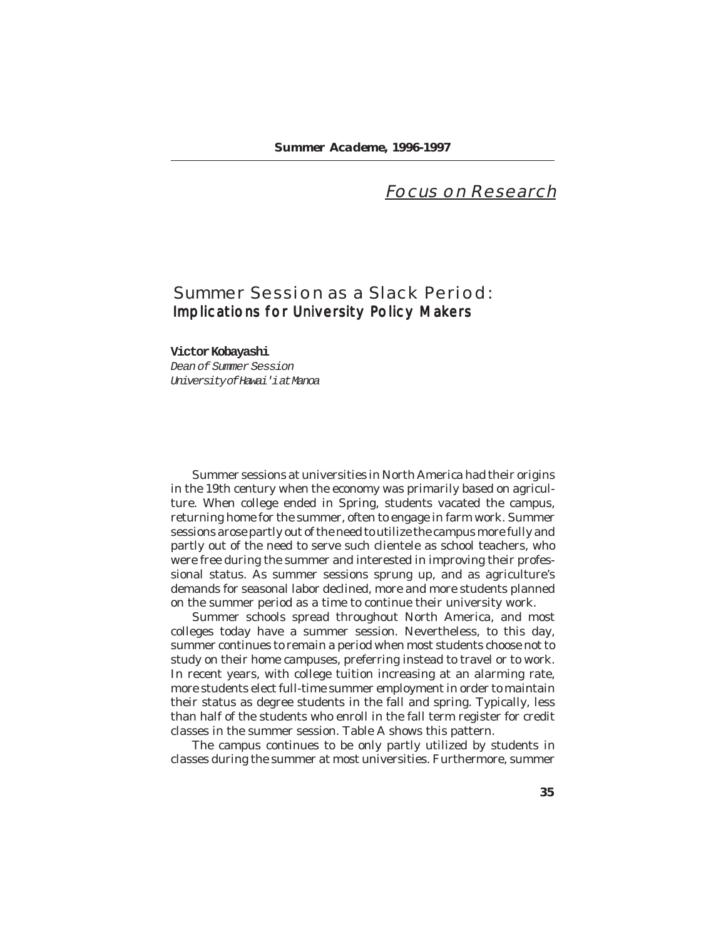# **Focus on Research**

# **Summer Session as a Slack Period:** Implications for University Policy Makers

## **Victor Kobayashi**

*Dean of Summer Session University of Hawai'i at Manoa*

Summer sessions at universities in North America had their origins in the 19th century when the economy was primarily based on agriculture. When college ended in Spring, students vacated the campus, returning home for the summer, often to engage in farm work. Summer sessions arose partly out of the need to utilize the campus more fully and partly out of the need to serve such clientele as school teachers, who were free during the summer and interested in improving their professional status. As summer sessions sprung up, and as agriculture's demands for seasonal labor declined, more and more students planned on the summer period as a time to continue their university work.

Summer schools spread throughout North America, and most colleges today have a summer session. Nevertheless, to this day, summer continues to remain a period when most students choose not to study on their home campuses, preferring instead to travel or to work. In recent years, with college tuition increasing at an alarming rate, more students elect full-time summer employment in order to maintain their status as degree students in the fall and spring. Typically, less than half of the students who enroll in the fall term register for credit classes in the summer session. Table A shows this pattern.

The campus continues to be only partly utilized by students in classes during the summer at most universities. Furthermore, summer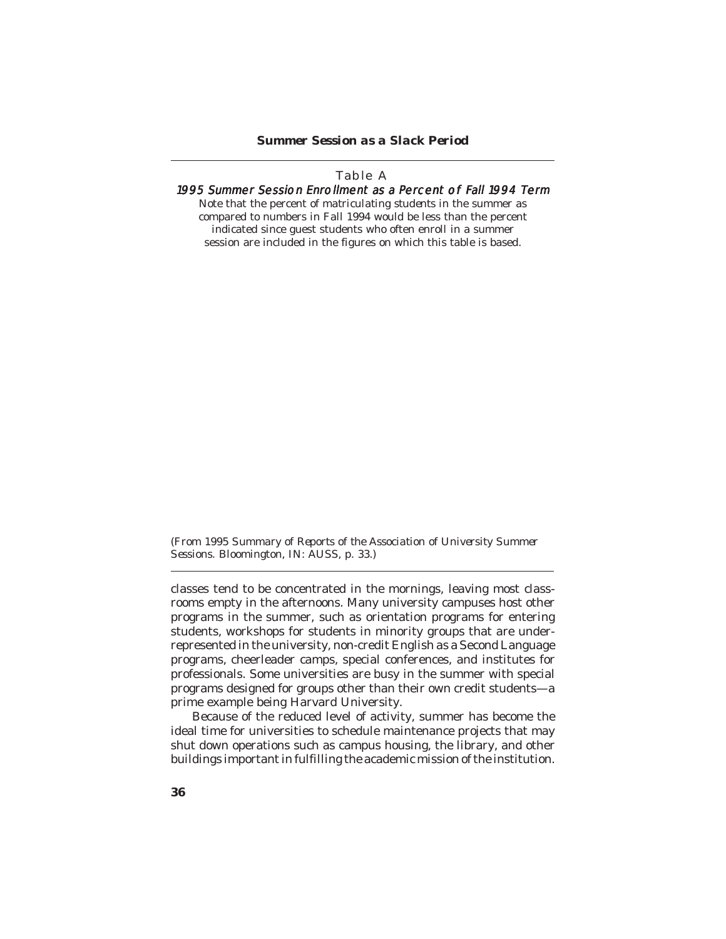## **Table A** 1995 Summer Session Enrollment as a Percent of Fall 1994 Term Note that the percent of *matriculating students* in the summer as compared to numbers in Fall 1994 would be less than the percent indicated since guest students who often enroll in a summer

session are included in the figures on which this table is based.

(From *1995 Summary of Reports of the Association of University Summer Sessions.* Bloomington, IN: AUSS, p. 33.)

classes tend to be concentrated in the mornings, leaving most classrooms empty in the afternoons. Many university campuses host other programs in the summer, such as orientation programs for entering students, workshops for students in minority groups that are underrepresented in the university, non-credit English as a Second Language programs, cheerleader camps, special conferences, and institutes for professionals. Some universities are busy in the summer with special programs designed for groups other than their own credit students—a prime example being Harvard University.

Because of the reduced level of activity, summer has become the ideal time for universities to schedule maintenance projects that may shut down operations such as campus housing, the library, and other buildings important in fulfilling the academic mission of the institution.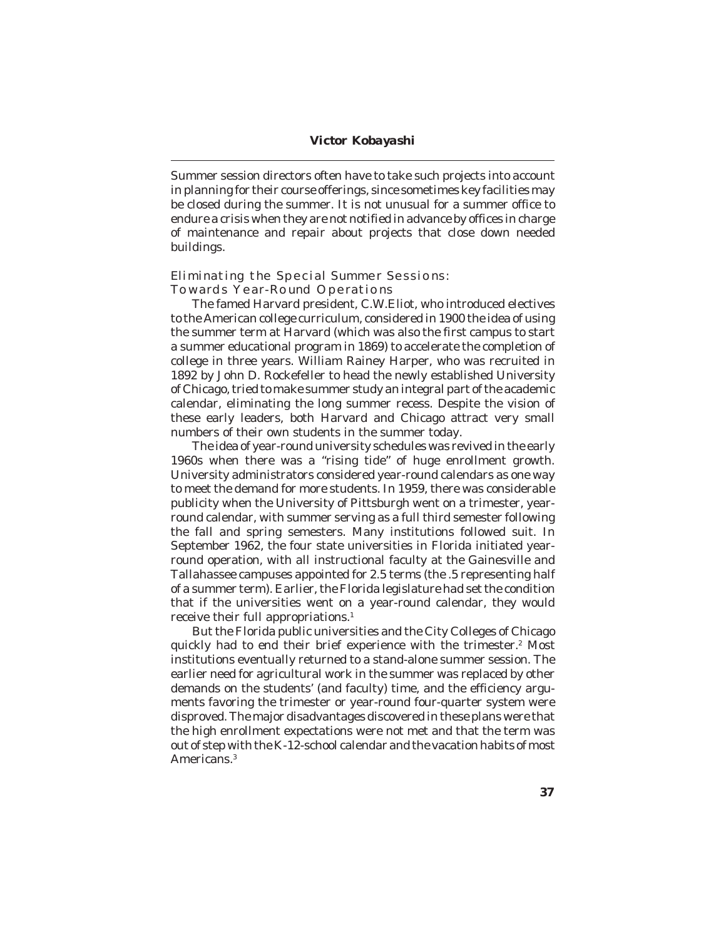Summer session directors often have to take such projects into account in planning for their course offerings, since sometimes key facilities may be closed during the summer. It is not unusual for a summer office to endure a crisis when they are not notified in advance by offices in charge of maintenance and repair about projects that close down needed buildings.

## **Eliminating the Special Summer Sessions: Towards Year-Round Operations**

The famed Harvard president, C.W.Eliot, who introduced electives to the American college curriculum, considered in 1900 the idea of using the summer term at Harvard (which was also the first campus to start a summer educational program in 1869) to accelerate the completion of college in three years. William Rainey Harper, who was recruited in 1892 by John D. Rockefeller to head the newly established University of Chicago, tried to make summer study an integral part of the academic calendar, eliminating the long summer recess. Despite the vision of these early leaders, both Harvard and Chicago attract very small numbers of their own students in the summer today.

The idea of year-round university schedules was revived in the early 1960s when there was a "rising tide" of huge enrollment growth. University administrators considered year-round calendars as one way to meet the demand for more students. In 1959, there was considerable publicity when the University of Pittsburgh went on a trimester, yearround calendar, with summer serving as a full third semester following the fall and spring semesters. Many institutions followed suit. In September 1962, the four state universities in Florida initiated yearround operation, with all instructional faculty at the Gainesville and Tallahassee campuses appointed for 2.5 terms (the .5 representing half of a summer term). Earlier, the Florida legislature had set the condition that if the universities went on a year-round calendar, they would receive their full appropriations.<sup>1</sup>

But the Florida public universities and the City Colleges of Chicago quickly had to end their brief experience with the trimester.<sup>2</sup> Most institutions eventually returned to a stand-alone summer session. The earlier need for agricultural work in the summer was replaced by other demands on the students' (and faculty) time, and the efficiency arguments favoring the trimester or year-round four-quarter system were disproved. The major disadvantages discovered in these plans were that the high enrollment expectations were not met and that the term was out of step with the K-12-school calendar and the vacation habits of most Americans.3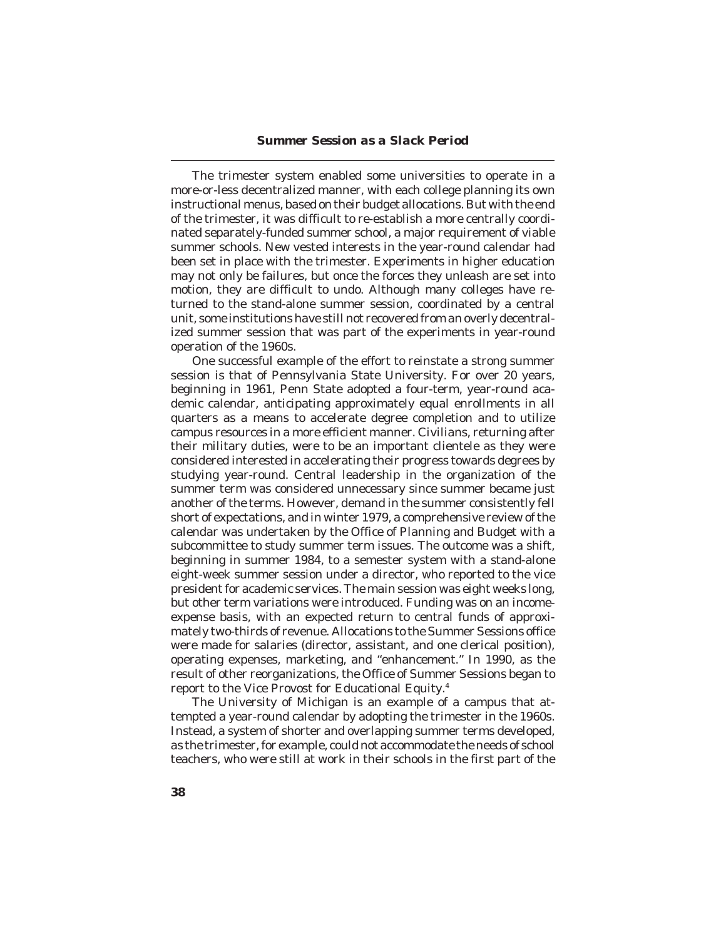The trimester system enabled some universities to operate in a more-or-less decentralized manner, with each college planning its own instructional menus, based on their budget allocations. But with the end of the trimester, it was difficult to re-establish a more centrally coordinated separately-funded summer school, a major requirement of viable summer schools. New vested interests in the year-round calendar had been set in place with the trimester. Experiments in higher education may not only be failures, but once the forces they unleash are set into motion, they are difficult to undo. Although many colleges have returned to the stand-alone summer session, coordinated by a central unit, some institutions have still not recovered from an overly decentralized summer session that was part of the experiments in year-round operation of the 1960s.

One successful example of the effort to reinstate a strong summer session is that of Pennsylvania State University. For over 20 years, beginning in 1961, Penn State adopted a four-term, year-round academic calendar, anticipating approximately equal enrollments in all quarters as a means to accelerate degree completion and to utilize campus resources in a more efficient manner. Civilians, returning after their military duties, were to be an important clientele as they were considered interested in accelerating their progress towards degrees by studying year-round. Central leadership in the organization of the summer term was considered unnecessary since summer became just another of the terms. However, demand in the summer consistently fell short of expectations, and in winter 1979, a comprehensive review of the calendar was undertaken by the Office of Planning and Budget with a subcommittee to study summer term issues. The outcome was a shift, beginning in summer 1984, to a semester system with a stand-alone eight-week summer session under a director, who reported to the vice president for academic services. The main session was eight weeks long, but other term variations were introduced. Funding was on an incomeexpense basis, with an expected return to central funds of approximately two-thirds of revenue. Allocations to the Summer Sessions office were made for salaries (director, assistant, and one clerical position), operating expenses, marketing, and "enhancement." In 1990, as the result of other reorganizations, the Office of Summer Sessions began to report to the Vice Provost for Educational Equity.4

The University of Michigan is an example of a campus that attempted a year-round calendar by adopting the trimester in the 1960s. Instead, a system of shorter and overlapping summer terms developed, as the trimester, for example, could not accommodate the needs of school teachers, who were still at work in their schools in the first part of the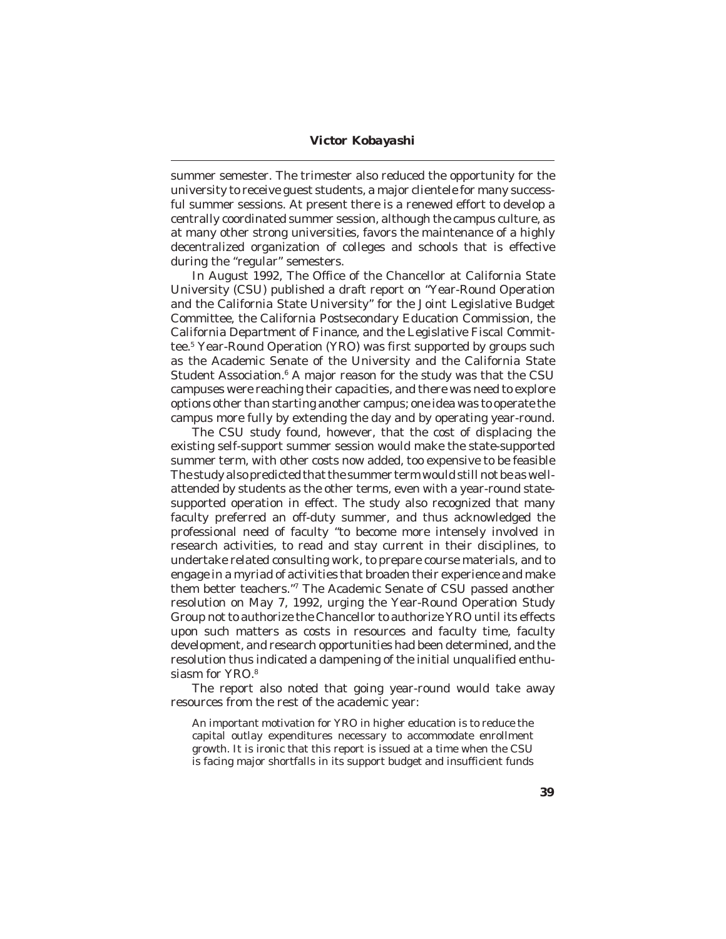summer semester. The trimester also reduced the opportunity for the university to receive guest students, a major clientele for many successful summer sessions. At present there is a renewed effort to develop a centrally coordinated summer session, although the campus culture, as at many other strong universities, favors the maintenance of a highly decentralized organization of colleges and schools that is effective during the "regular" semesters.

In August 1992, The Office of the Chancellor at California State University (CSU) published a draft report on "Year-Round Operation and the California State University" for the Joint Legislative Budget Committee, the California Postsecondary Education Commission, the California Department of Finance, and the Legislative Fiscal Committee.5 Year-Round Operation (YRO) was first supported by groups such as the Academic Senate of the University and the California State Student Association. $^6$  A major reason for the study was that the CSU  $\,$ campuses were reaching their capacities, and there was need to explore options other than starting another campus; one idea was to operate the campus more fully by extending the day and by operating year-round.

The CSU study found, however, that the cost of displacing the existing self-support summer session would make the state-supported summer term, with other costs now added, too expensive to be feasible The study also predicted that the summer term would still not be as wellattended by students as the other terms, even with a year-round statesupported operation in effect. The study also recognized that many faculty preferred an off-duty summer, and thus acknowledged the professional need of faculty "to become more intensely involved in research activities, to read and stay current in their disciplines, to undertake related consulting work, to prepare course materials, and to engage in a myriad of activities that broaden their experience and make them better teachers."7 The Academic Senate of CSU passed another resolution on May 7, 1992, urging the Year-Round Operation Study Group not to authorize the Chancellor to authorize YRO until its effects upon such matters as costs in resources and faculty time, faculty development, and research opportunities had been determined, and the resolution thus indicated a dampening of the initial unqualified enthusiasm for YRO.<sup>8</sup>

The report also noted that going year-round would take away resources from the rest of the academic year:

An important motivation for YRO in higher education is to reduce the capital outlay expenditures necessary to accommodate enrollment growth. It is ironic that this report is issued at a time when the CSU is facing major shortfalls in its support budget and insufficient funds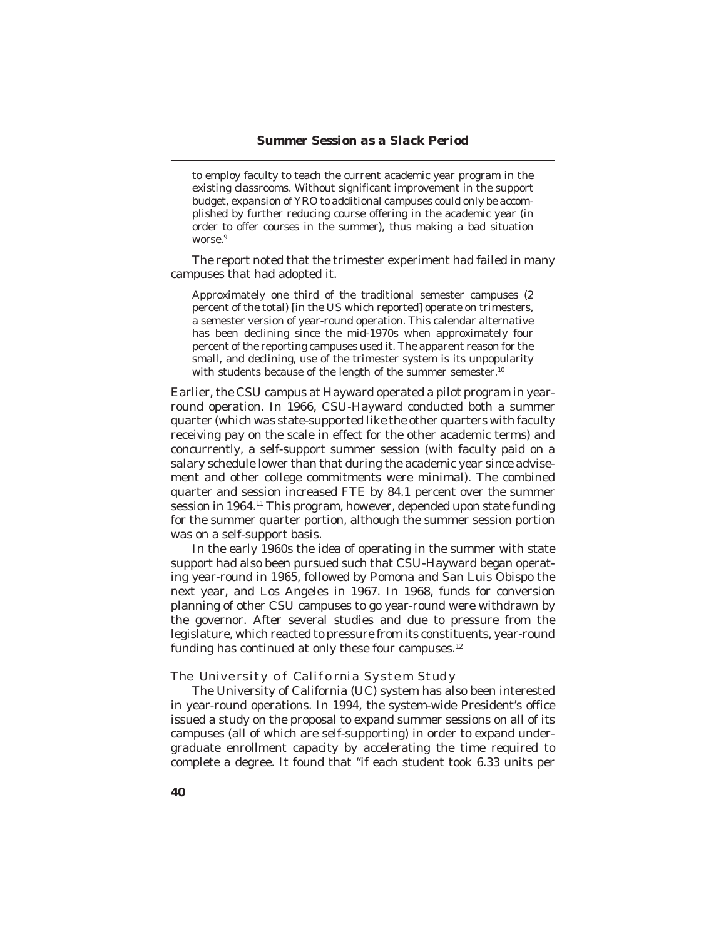to employ faculty to teach the current academic year program in the existing classrooms. Without significant improvement in the support budget, expansion of YRO to additional campuses could only be accomplished by further reducing course offering in the academic year (in order to offer courses in the summer), thus making a bad situation worse.<sup>9</sup>

The report noted that the trimester experiment had failed in many campuses that had adopted it.

Approximately one third of the traditional semester campuses (2 percent of the total) [in the US which reported] operate on trimesters, a semester version of year-round operation. This calendar alternative has been declining since the mid-1970s when approximately four percent of the reporting campuses used it. The apparent reason for the small, and declining, use of the trimester system is its unpopularity with students because of the length of the summer semester.<sup>10</sup>

Earlier, the CSU campus at Hayward operated a pilot program in yearround operation. In 1966, CSU-Hayward conducted both a summer quarter (which was state-supported like the other quarters with faculty receiving pay on the scale in effect for the other academic terms) and concurrently, a self-support summer session (with faculty paid on a salary schedule lower than that during the academic year since advisement and other college commitments were minimal). The combined quarter and session increased FTE by 84.1 percent over the summer session in 1964.<sup>11</sup> This program, however, depended upon state funding for the summer quarter portion, although the summer session portion was on a self-support basis.

In the early 1960s the idea of operating in the summer with state support had also been pursued such that CSU-Hayward began operating year-round in 1965, followed by Pomona and San Luis Obispo the next year, and Los Angeles in 1967. In 1968, funds for conversion planning of other CSU campuses to go year-round were withdrawn by the governor. After several studies and due to pressure from the legislature, which reacted to pressure from its constituents, year-round funding has continued at only these four campuses.<sup>12</sup>

## **The University of California System Study**

The University of California (UC) system has also been interested in year-round operations. In 1994, the system-wide President's office issued a study on the proposal to expand summer sessions on all of its campuses (all of which are self-supporting) in order to expand undergraduate enrollment capacity by accelerating the time required to complete a degree. It found that "if each student took 6.33 units per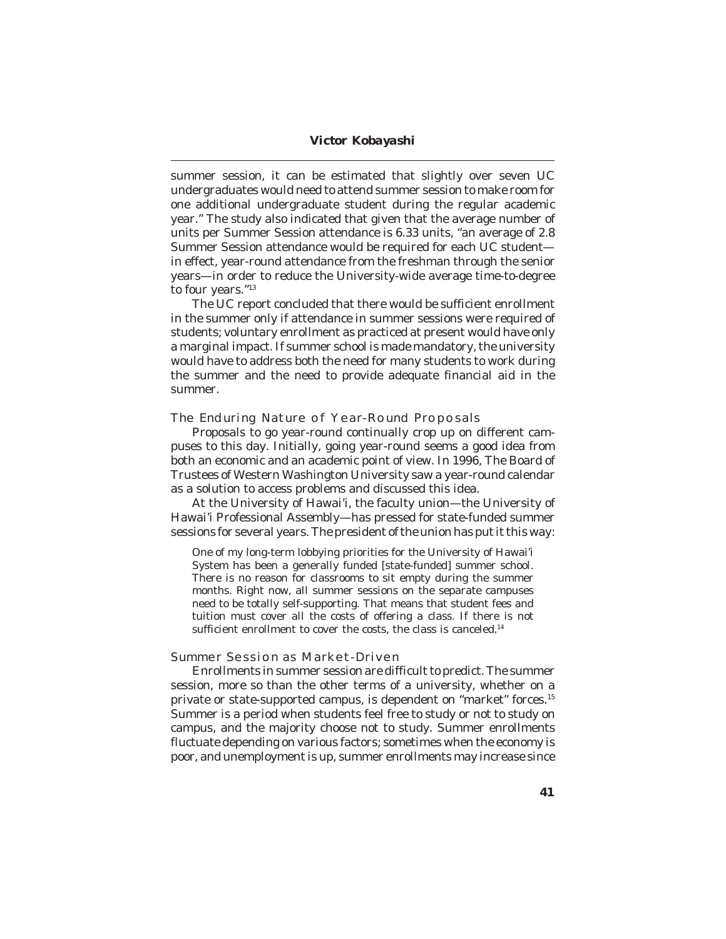summer session, it can be estimated that slightly over seven UC undergraduates would need to attend summer session to make room for one additional undergraduate student during the regular academic year." The study also indicated that given that the average number of units per Summer Session attendance is 6.33 units, "an average of 2.8 Summer Session attendance would be required for each UC student in effect, year-round attendance from the freshman through the senior years—in order to reduce the University-wide average time-to-degree to four years."13

The UC report concluded that there would be sufficient enrollment in the summer only if attendance in summer sessions were required of students; voluntary enrollment as practiced at present would have only a marginal impact. If summer school is made mandatory, the university would have to address both the need for many students to work during the summer and the need to provide adequate financial aid in the summer.

#### **The Enduring Nature of Year-Round Proposals**

Proposals to go year-round continually crop up on different campuses to this day. Initially, going year-round seems a good idea from both an economic and an academic point of view. In 1996, The Board of Trustees of Western Washington University saw a year-round calendar as a solution to access problems and discussed this idea.

At the University of Hawai'i, the faculty union—the University of Hawai'i Professional Assembly—has pressed for state-funded summer sessions for several years. The president of the union has put it this way:

One of my long-term lobbying priorities for the University of Hawai'i System has been a generally funded [state-funded] summer school. There is no reason for classrooms to sit empty during the summer months. Right now, all summer sessions on the separate campuses need to be totally self-supporting. That means that student fees and tuition must cover all the costs of offering a class. If there is not sufficient enrollment to cover the costs, the class is canceled.<sup>14</sup>

### **Summer Session as Market-Driven**

Enrollments in summer session are difficult to predict. The summer session, more so than the other terms of a university, whether on a private or state-supported campus, is dependent on "market" forces.15 Summer is a period when students feel free to study or not to study on campus, and the majority choose not to study. Summer enrollments fluctuate depending on various factors; sometimes when the economy is poor, and unemployment is up, summer enrollments may increase since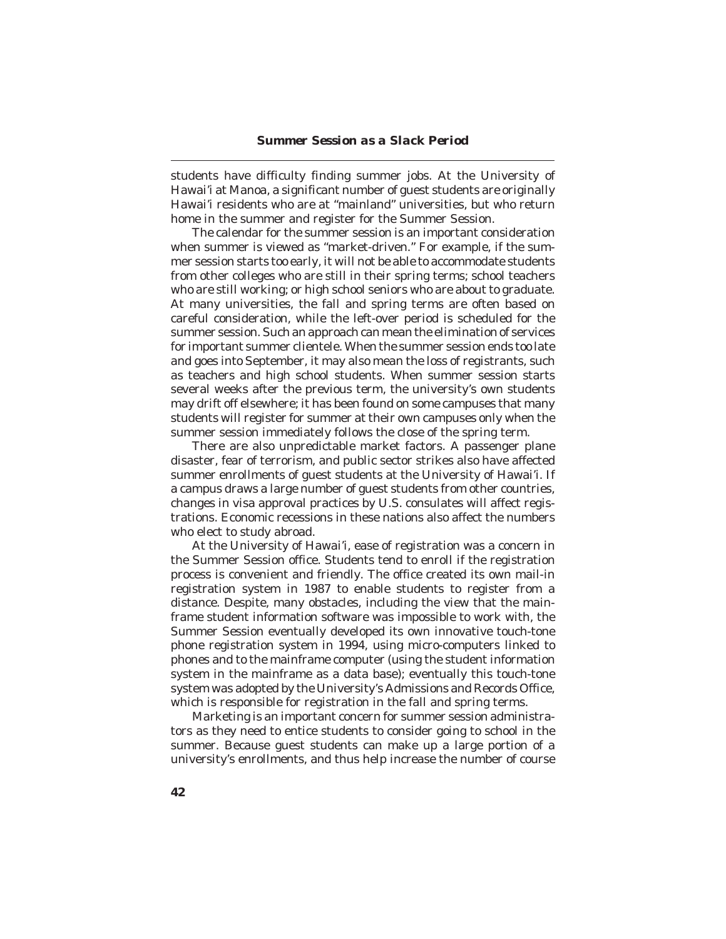students have difficulty finding summer jobs. At the University of Hawai'i at Manoa, a significant number of guest students are originally Hawai'i residents who are at "mainland" universities, but who return home in the summer and register for the Summer Session.

The calendar for the summer session is an important consideration when summer is viewed as "market-driven." For example, if the summer session starts too early, it will not be able to accommodate students from other colleges who are still in their spring terms; school teachers who are still working; or high school seniors who are about to graduate. At many universities, the fall and spring terms are often based on careful consideration, while the left-over period is scheduled for the summer session. Such an approach can mean the elimination of services for important summer clientele. When the summer session ends too late and goes into September, it may also mean the loss of registrants, such as teachers and high school students. When summer session starts several weeks after the previous term, the university's own students may drift off elsewhere; it has been found on some campuses that many students will register for summer at their own campuses only when the summer session immediately follows the close of the spring term.

There are also unpredictable market factors. A passenger plane disaster, fear of terrorism, and public sector strikes also have affected summer enrollments of guest students at the University of Hawai'i. If a campus draws a large number of guest students from other countries, changes in visa approval practices by U.S. consulates will affect registrations. Economic recessions in these nations also affect the numbers who elect to study abroad.

At the University of Hawai'i, ease of registration was a concern in the Summer Session office. Students tend to enroll if the registration process is convenient and friendly. The office created its own mail-in registration system in 1987 to enable students to register from a distance. Despite, many obstacles, including the view that the mainframe student information software was impossible to work with, the Summer Session eventually developed its own innovative touch-tone phone registration system in 1994, using micro-computers linked to phones and to the mainframe computer (using the student information system in the mainframe as a data base); eventually this touch-tone system was adopted by the University's Admissions and Records Office, which is responsible for registration in the fall and spring terms.

Marketing is an important concern for summer session administrators as they need to entice students to consider going to school in the summer. Because guest students can make up a large portion of a university's enrollments, and thus help increase the number of course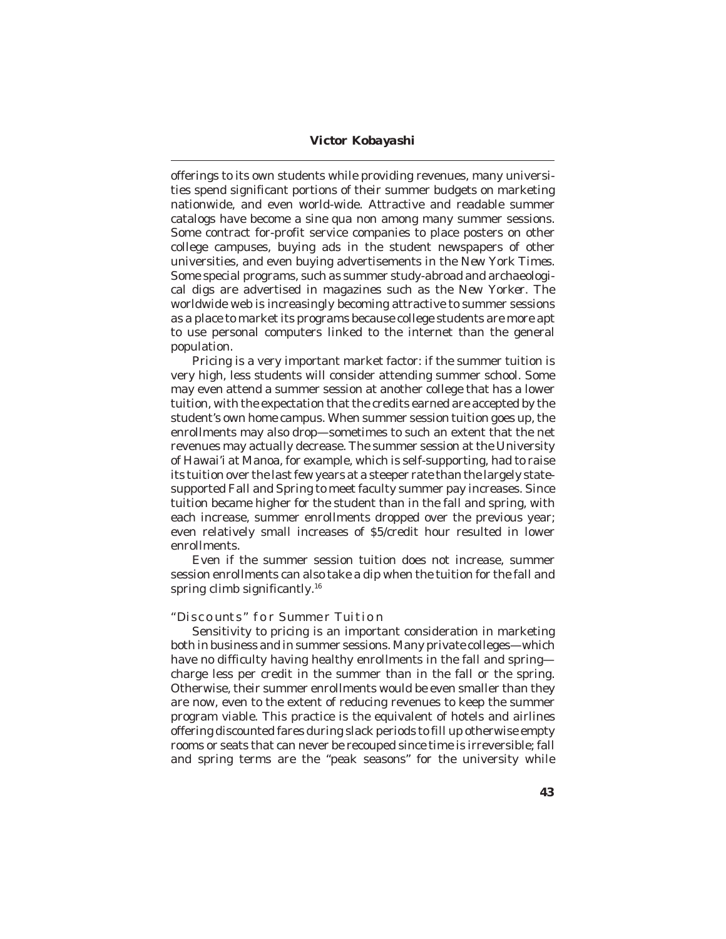offerings to its own students while providing revenues, many universities spend significant portions of their summer budgets on marketing nationwide, and even world-wide. Attractive and readable summer catalogs have become a *sine qua non* among many summer sessions. Some contract for-profit service companies to place posters on other college campuses, buying ads in the student newspapers of other universities, and even buying advertisements in the *New York Times.* Some special programs, such as summer study-abroad and archaeological digs are advertised in magazines such as the *New Yorker.* The worldwide web is increasingly becoming attractive to summer sessions as a place to market its programs because college students are more apt to use personal computers linked to the internet than the general population.

Pricing is a very important market factor: if the summer tuition is very high, less students will consider attending summer school. Some may even attend a summer session at another college that has a lower tuition, with the expectation that the credits earned are accepted by the student's own home campus. When summer session tuition goes up, the enrollments may also drop—sometimes to such an extent that the net revenues may actually decrease. The summer session at the University of Hawai'i at Manoa, for example, which is self-supporting, had to raise its tuition over the last few years at a steeper rate than the largely statesupported Fall and Spring to meet faculty summer pay increases. Since tuition became higher for the student than in the fall and spring, with each increase, summer enrollments dropped over the previous year; even relatively small increases of \$5/credit hour resulted in lower enrollments.

Even if the summer session tuition does not increase, summer session enrollments can also take a dip when the tuition for the fall and spring climb significantly.<sup>16</sup>

#### **"Discounts" for Summer Tuition**

Sensitivity to pricing is an important consideration in marketing both in business and in summer sessions. Many private colleges—which have no difficulty having healthy enrollments in the fall and spring charge less per credit in the summer than in the fall or the spring. Otherwise, their summer enrollments would be even smaller than they are now, even to the extent of reducing revenues to keep the summer program viable. This practice is the equivalent of hotels and airlines offering discounted fares during slack periods to fill up otherwise empty rooms or seats that can never be recouped since time is irreversible; fall and spring terms are the "peak seasons" for the university while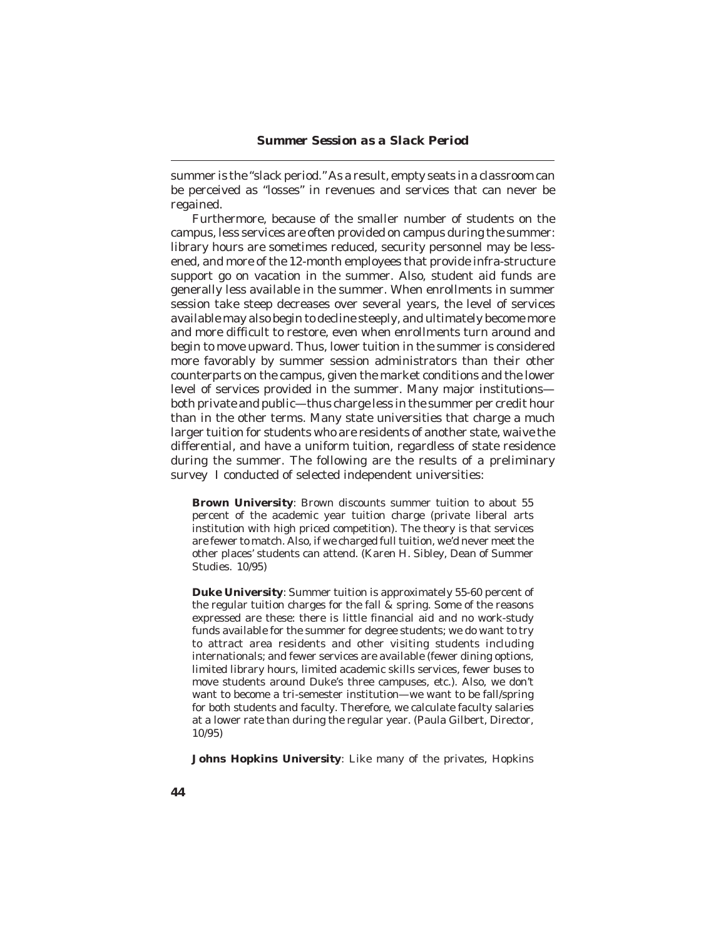summer is the "slack period." As a result, empty seats in a classroom can be perceived as "losses" in revenues and services that can never be regained.

Furthermore, because of the smaller number of students on the campus, less services are often provided on campus during the summer: library hours are sometimes reduced, security personnel may be lessened, and more of the 12-month employees that provide infra-structure support go on vacation in the summer. Also, student aid funds are generally less available in the summer. When enrollments in summer session take steep decreases over several years, the level of services available may also begin to decline steeply, and ultimately become more and more difficult to restore, even when enrollments turn around and begin to move upward. Thus, lower tuition in the summer is considered more favorably by summer session administrators than their other counterparts on the campus, given the market conditions and the lower level of services provided in the summer. Many major institutions both private and public—thus charge less in the summer per credit hour than in the other terms. Many state universities that charge a much larger tuition for students who are residents of another state, waive the differential, and have a uniform tuition, regardless of state residence during the summer. The following are the results of a preliminary survey I conducted of selected independent universities:

**Brown University**: Brown discounts summer tuition to about 55 percent of the academic year tuition charge (private liberal arts institution with high priced competition). The theory is that services are fewer to match. Also, if we charged full tuition, we'd never meet the other places' students can attend. (Karen H. Sibley, Dean of Summer Studies. 10/95)

**Duke University**: Summer tuition is approximately 55-60 percent of the regular tuition charges for the fall & spring. Some of the reasons expressed are these: there is little financial aid and no work-study funds available for the summer for degree students; we do want to try to attract area residents and other visiting students including internationals; and fewer services are available (fewer dining options, limited library hours, limited academic skills services, fewer buses to move students around Duke's three campuses, etc.). Also, we don't want to become a tri-semester institution—we want to be fall/spring for both students and faculty. Therefore, we calculate faculty salaries at a lower rate than during the regular year. (Paula Gilbert, Director, 10/95)

**Johns Hopkins University**: Like many of the privates, Hopkins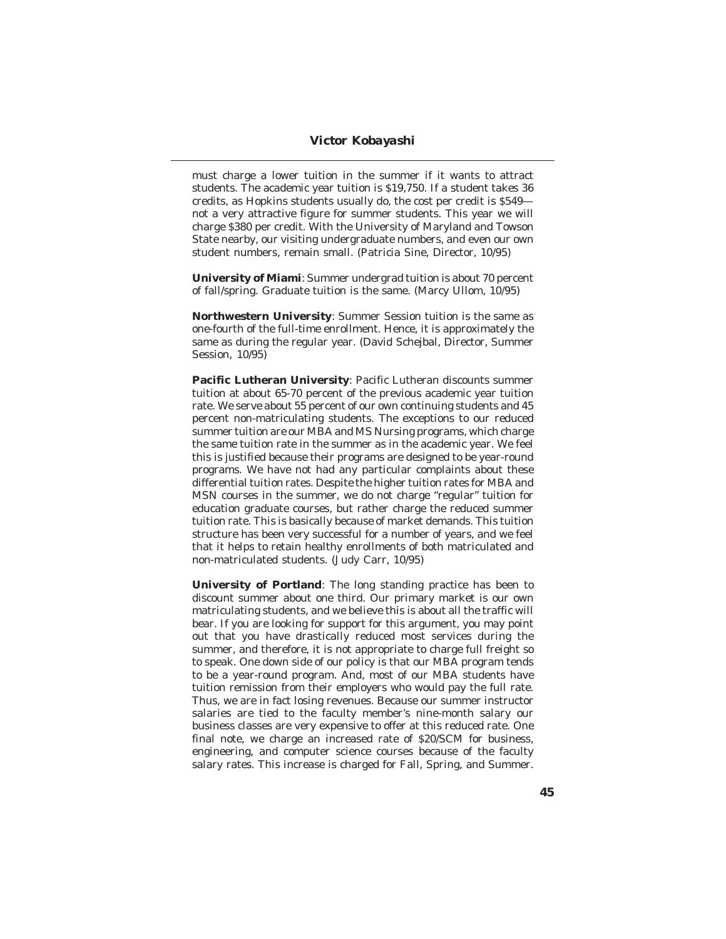must charge a lower tuition in the summer if it wants to attract students. The academic year tuition is \$19,750. If a student takes 36 credits, as Hopkins students usually do, the cost per credit is \$549 not a very attractive figure for summer students. This year we will charge \$380 per credit. With the University of Maryland and Towson State nearby, our visiting undergraduate numbers, and even our own student numbers, remain small. (Patricia Sine, Director, 10/95)

**University of Miami**: Summer undergrad tuition is about 70 percent of fall/spring. Graduate tuition is the same. (Marcy Ullom, 10/95)

**Northwestern University**: Summer Session tuition is the same as one-fourth of the full-time enrollment. Hence, it is approximately the same as during the regular year. (David Schejbal, Director, Summer Session, 10/95)

**Pacific Lutheran University**: Pacific Lutheran discounts summer tuition at about 65-70 percent of the previous academic year tuition rate. We serve about 55 percent of our own continuing students and 45 percent non-matriculating students. The exceptions to our reduced summer tuition are our MBA and MS Nursing programs, which charge the same tuition rate in the summer as in the academic year. We feel this is justified because their programs are designed to be year-round programs. We have not had any particular complaints about these differential tuition rates. Despite the higher tuition rates for MBA and MSN courses in the summer, we do not charge "regular" tuition for education graduate courses, but rather charge the reduced summer tuition rate. This is basically because of market demands. This tuition structure has been very successful for a number of years, and we feel that it helps to retain healthy enrollments of both matriculated and non-matriculated students. (Judy Carr, 10/95)

**University of Portland**: The long standing practice has been to discount summer about one third. Our primary market is our own matriculating students, and we believe this is about all the traffic will bear. If you are looking for support for this argument, you may point out that you have drastically reduced most services during the summer, and therefore, it is not appropriate to charge full freight so to speak. One down side of our policy is that our MBA program tends to be a year-round program. And, most of our MBA students have tuition remission from their employers who would pay the full rate. Thus, we are in fact losing revenues. Because our summer instructor salaries are tied to the faculty member's nine-month salary our business classes are very expensive to offer at this reduced rate. One final note, we charge an increased rate of \$20/SCM for business, engineering, and computer science courses because of the faculty salary rates. This increase is charged for Fall, Spring, and Summer.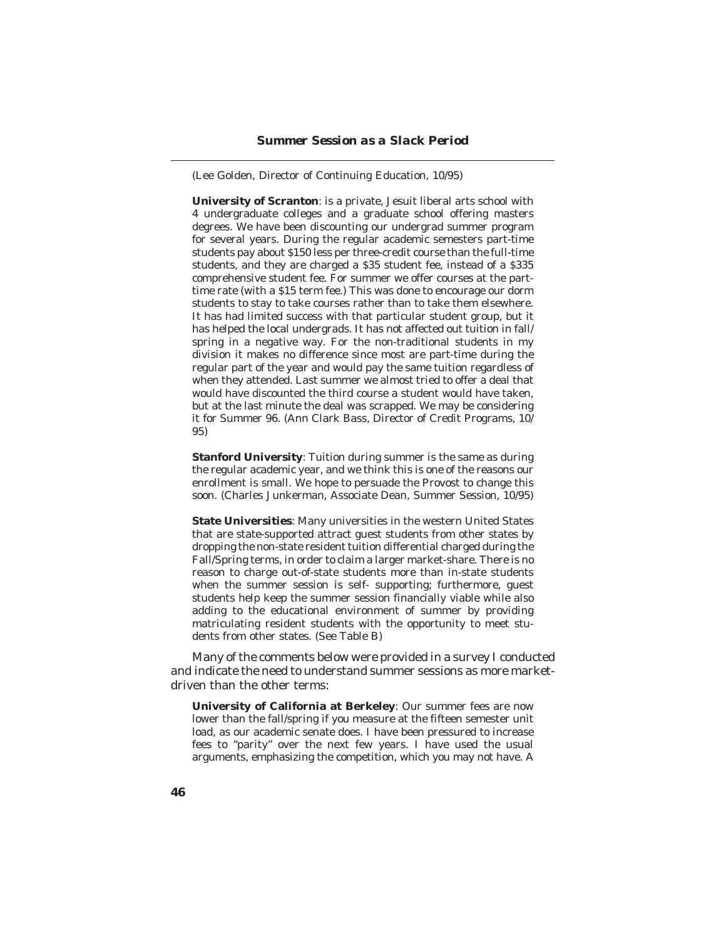(Lee Golden, Director of Continuing Education, 10/95)

**University of Scranton**: is a private, Jesuit liberal arts school with 4 undergraduate colleges and a graduate school offering masters degrees. We have been discounting our undergrad summer program for several years. During the regular academic semesters part-time students pay about \$150 less per three-credit course than the full-time students, and they are charged a \$35 student fee, instead of a \$335 comprehensive student fee. For summer we offer courses at the parttime rate (with a \$15 term fee.) This was done to encourage our dorm students to stay to take courses rather than to take them elsewhere. It has had limited success with that particular student group, but it has helped the local undergrads. It has not affected out tuition in fall/ spring in a negative way. For the non-traditional students in my division it makes no difference since most are part-time during the regular part of the year and would pay the same tuition regardless of when they attended. Last summer we almost tried to offer a deal that would have discounted the third course a student would have taken, but at the last minute the deal was scrapped. We may be considering it for Summer 96. (Ann Clark Bass, Director of Credit Programs, 10/ 95)

**Stanford University**: Tuition during summer is the same as during the regular academic year, and we think this is one of the reasons our enrollment is small. We hope to persuade the Provost to change this soon. (Charles Junkerman, Associate Dean, Summer Session, 10/95)

**State Universities**: Many universities in the western United States that are state-supported attract guest students from other states by dropping the non-state resident tuition differential charged during the Fall/Spring terms, in order to claim a larger market-share. There is no reason to charge out-of-state students more than in-state students when the summer session is self- supporting; furthermore, guest students help keep the summer session financially viable while also adding to the educational environment of summer by providing matriculating resident students with the opportunity to meet students from other states. (See Table B)

Many of the comments below were provided in a survey I conducted and indicate the need to understand summer sessions as more marketdriven than the other terms:

**University of California at Berkeley**: Our summer fees are now lower than the fall/spring if you measure at the fifteen semester unit load, as our academic senate does. I have been pressured to increase fees to "parity" over the next few years. I have used the usual arguments, emphasizing the competition, which you may not have. A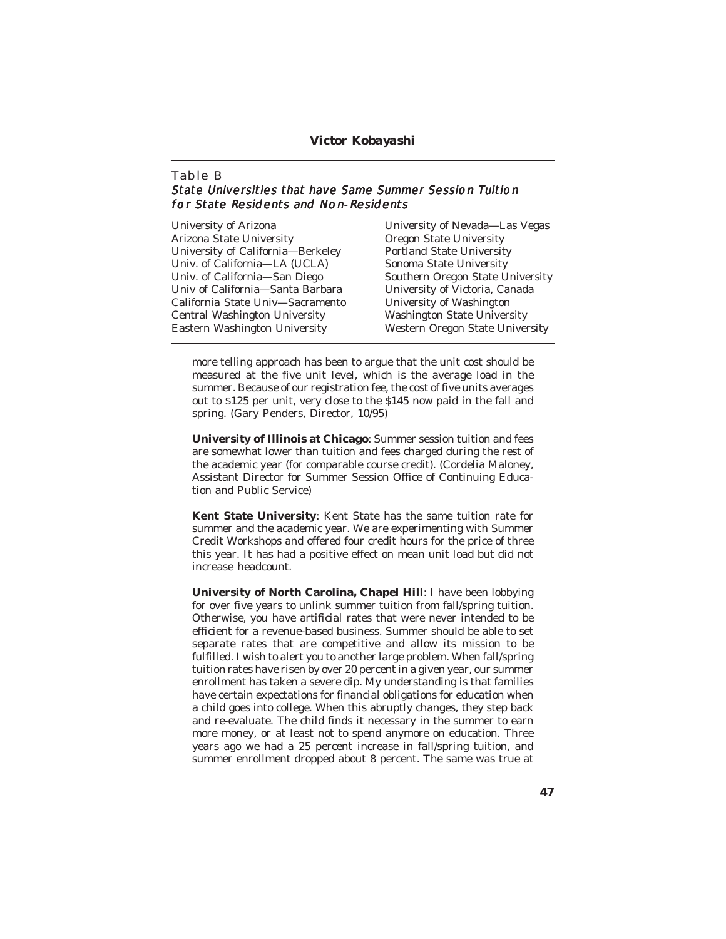## **Table B** State Universities that have Same Summer Session Tuition for State Residents and Non-Residents

| University of Arizona             | University of Nevada—Las Vegas         |
|-----------------------------------|----------------------------------------|
| Arizona State University          | <b>Oregon State University</b>         |
| University of California—Berkeley | <b>Portland State University</b>       |
| Univ. of California—LA (UCLA)     | Sonoma State University                |
| Univ. of California-San Diego     | Southern Oregon State University       |
| Univ of California—Santa Barbara  | University of Victoria, Canada         |
| California State Univ-Sacramento  | University of Washington               |
| Central Washington University     | <b>Washington State University</b>     |
| Eastern Washington University     | <b>Western Oregon State University</b> |
|                                   |                                        |

more telling approach has been to argue that the unit cost should be measured at the five unit level, which is the average load in the summer. Because of our registration fee, the cost of five units averages out to \$125 per unit, very close to the \$145 now paid in the fall and spring. (Gary Penders, Director, 10/95)

**University of Illinois at Chicago**: Summer session tuition and fees are somewhat lower than tuition and fees charged during the rest of the academic year (for comparable course credit). (Cordelia Maloney, Assistant Director for Summer Session Office of Continuing Education and Public Service)

**Kent State University**: Kent State has the same tuition rate for summer and the academic year. We are experimenting with Summer Credit Workshops and offered four credit hours for the price of three this year. It has had a positive effect on mean unit load but did not increase headcount.

**University of North Carolina, Chapel Hill**: I have been lobbying for over five years to unlink summer tuition from fall/spring tuition. Otherwise, you have artificial rates that were never intended to be efficient for a revenue-based business. Summer should be able to set separate rates that are competitive and allow its mission to be fulfilled. I wish to alert you to another large problem. When fall/spring tuition rates have risen by over 20 percent in a given year, our summer enrollment has taken a severe dip. My understanding is that families have certain expectations for financial obligations for education when a child goes into college. When this abruptly changes, they step back and re-evaluate. The child finds it necessary in the summer to earn more money, or at least not to spend anymore on education. Three years ago we had a 25 percent increase in fall/spring tuition, and summer enrollment dropped about 8 percent. The same was true at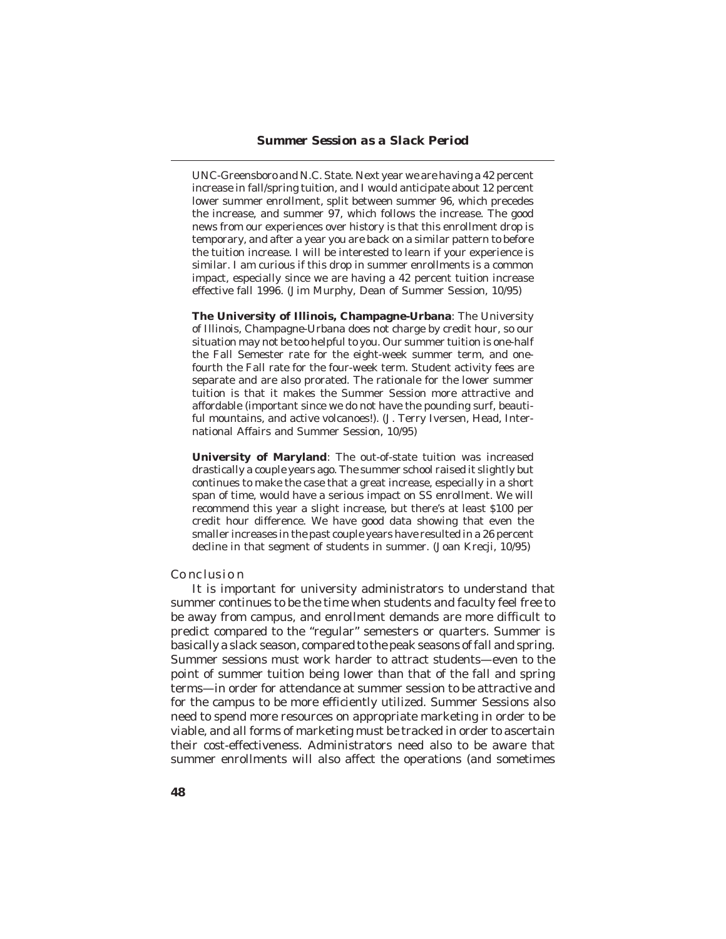UNC-Greensboro and N.C. State. Next year we are having a 42 percent increase in fall/spring tuition, and I would anticipate about 12 percent lower summer enrollment, split between summer 96, which precedes the increase, and summer 97, which follows the increase. The good news from our experiences over history is that this enrollment drop is temporary, and after a year you are back on a similar pattern to before the tuition increase. I will be interested to learn if your experience is similar. I am curious if this drop in summer enrollments is a common impact, especially since we are having a 42 percent tuition increase effective fall 1996. (Jim Murphy, Dean of Summer Session, 10/95)

**The University of Illinois, Champagne-Urbana**: The University of Illinois, Champagne-Urbana does not charge by credit hour, so our situation may not be too helpful to you. Our summer tuition is one-half the Fall Semester rate for the eight-week summer term, and onefourth the Fall rate for the four-week term. Student activity fees are separate and are also prorated. The rationale for the lower summer tuition is that it makes the Summer Session more attractive and affordable (important since we do not have the pounding surf, beautiful mountains, and active volcanoes!). (J. Terry Iversen, Head, International Affairs and Summer Session, 10/95)

**University of Maryland**: The out-of-state tuition was increased drastically a couple years ago. The summer school raised it slightly but continues to make the case that a great increase, especially in a short span of time, would have a serious impact on SS enrollment. We will recommend this year a slight increase, but there's at least \$100 per credit hour difference. We have good data showing that even the smaller increases in the past couple years have resulted in a 26 percent decline in that segment of students in summer. (Joan Krecji, 10/95)

## **Conclusion**

It is important for university administrators to understand that summer continues to be the time when students and faculty feel free to be away from campus, and enrollment demands are more difficult to predict compared to the "regular" semesters or quarters. Summer is basically a slack season, compared to the peak seasons of fall and spring. Summer sessions must work harder to attract students—even to the point of summer tuition being lower than that of the fall and spring terms—in order for attendance at summer session to be attractive and for the campus to be more efficiently utilized. Summer Sessions also need to spend more resources on appropriate marketing in order to be viable, and all forms of marketing must be tracked in order to ascertain their cost-effectiveness. Administrators need also to be aware that summer enrollments will also affect the operations (and sometimes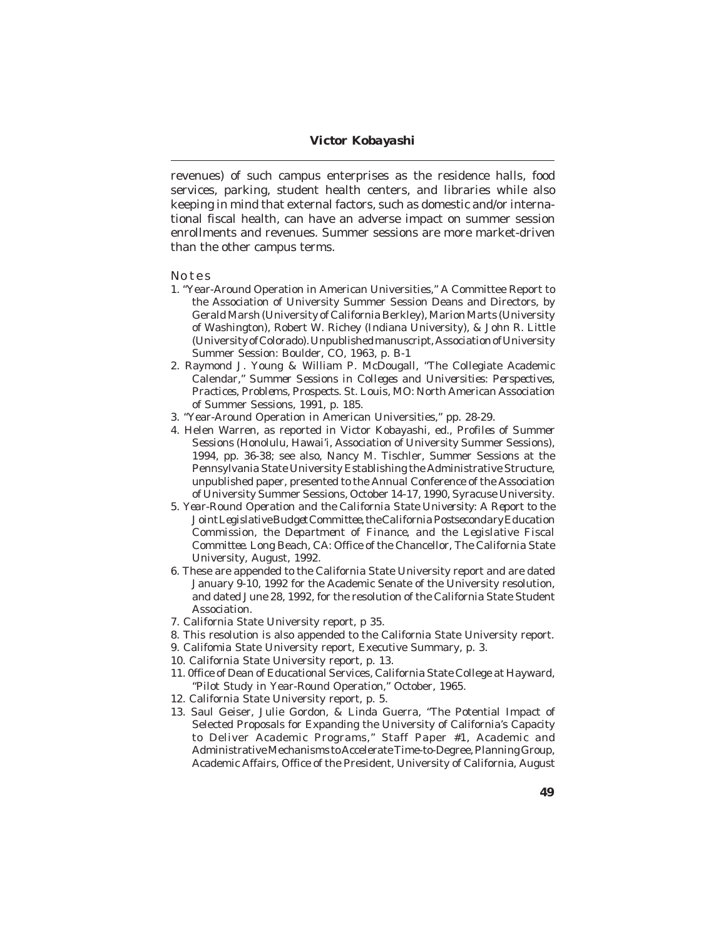revenues) of such campus enterprises as the residence halls, food services, parking, student health centers, and libraries while also keeping in mind that external factors, such as domestic and/or international fiscal health, can have an adverse impact on summer session enrollments and revenues. Summer sessions are more market-driven than the other campus terms.

#### **Notes**

- 1. "Year-Around Operation in American Universities," A Committee Report to the Association of University Summer Session Deans and Directors, by Gerald Marsh (University of California Berkley), Marion Marts (University of Washington), Robert W. Richey (Indiana University), & John R. Little (University of Colorado). Unpublished manuscript, Association of University Summer Session: Boulder, CO, 1963, p. B-1
- 2. Raymond J. Young & William P. McDougall, "The Collegiate Academic Calendar," *Summer Sessions in Colleges and Universities: Perspectives, Practices, Problems, Prospects.* St. Louis, MO: North American Association of Summer Sessions, 1991, p. 185.
- 3. "Year-Around Operation in American Universities," pp. 28-29.
- 4. Helen Warren, as reported in Victor Kobayashi, ed., *Profiles of Summer Sessions* (Honolulu, Hawai'i, Association of University Summer Sessions), 1994, pp. 36-38; see also, Nancy M. Tischler, Summer Sessions at the Pennsylvania State University Establishing the Administrative Structure, unpublished paper, presented to the Annual Conference of the Association of University Summer Sessions, October 14-17, 1990, Syracuse University.
- 5. *Year-Round Operation and the California State University: A Report to the Joint Legislative Budget Committee, the California Postsecondary Education Commission, the Department of Finance, and the Legislative Fiscal Committee*. Long Beach, CA: Office of the Chancellor, The California State University, August, 1992.
- 6. These are appended to the California State University report and are dated January 9-10, 1992 for the Academic Senate of the University resolution, and dated June 28, 1992, for the resolution of the California State Student Association.
- 7. California State University report, p 35.
- 8. This resolution is also appended to the California State University report.
- 9. Califomia State University report, Executive Summary, p. 3.
- 10. California State University report, p. 13.
- 11. 0ffice of Dean of Educational Services, California State College at Hayward, "Pilot Study in Year-Round Operation," October, 1965.
- 12. California State University report, p. 5.
- 13. Saul Geiser, Julie Gordon, & Linda Guerra, "The Potential Impact of Selected Proposals for Expanding the University of California's Capacity to Deliver Academic Programs," Staff Paper #1, Academic and Administrative Mechanisms to Accelerate Time-to-Degree, Planning Group, Academic Affairs, Office of the President, University of California, August